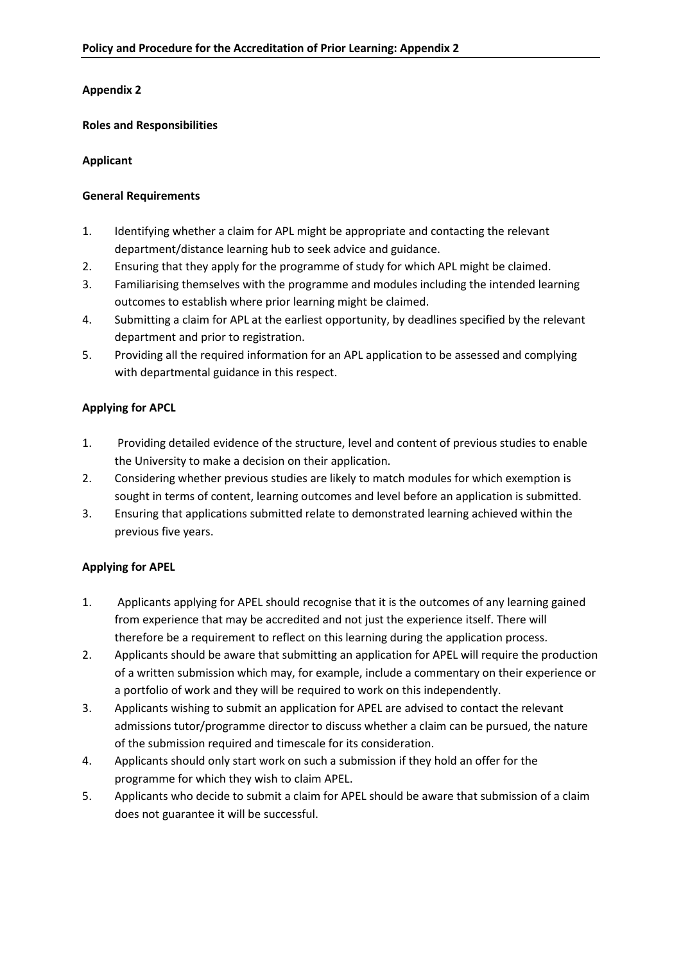## **Appendix 2**

#### **Roles and Responsibilities**

## **Applicant**

## **General Requirements**

- 1. Identifying whether a claim for APL might be appropriate and contacting the relevant department/distance learning hub to seek advice and guidance.
- 2. Ensuring that they apply for the programme of study for which APL might be claimed.
- 3. Familiarising themselves with the programme and modules including the intended learning outcomes to establish where prior learning might be claimed.
- 4. Submitting a claim for APL at the earliest opportunity, by deadlines specified by the relevant department and prior to registration.
- 5. Providing all the required information for an APL application to be assessed and complying with departmental guidance in this respect.

## **Applying for APCL**

- 1. Providing detailed evidence of the structure, level and content of previous studies to enable the University to make a decision on their application.
- 2. Considering whether previous studies are likely to match modules for which exemption is sought in terms of content, learning outcomes and level before an application is submitted.
- 3. Ensuring that applications submitted relate to demonstrated learning achieved within the previous five years.

# **Applying for APEL**

- 1. Applicants applying for APEL should recognise that it is the outcomes of any learning gained from experience that may be accredited and not just the experience itself. There will therefore be a requirement to reflect on this learning during the application process.
- 2. Applicants should be aware that submitting an application for APEL will require the production of a written submission which may, for example, include a commentary on their experience or a portfolio of work and they will be required to work on this independently.
- 3. Applicants wishing to submit an application for APEL are advised to contact the relevant admissions tutor/programme director to discuss whether a claim can be pursued, the nature of the submission required and timescale for its consideration.
- 4. Applicants should only start work on such a submission if they hold an offer for the programme for which they wish to claim APEL.
- 5. Applicants who decide to submit a claim for APEL should be aware that submission of a claim does not guarantee it will be successful.